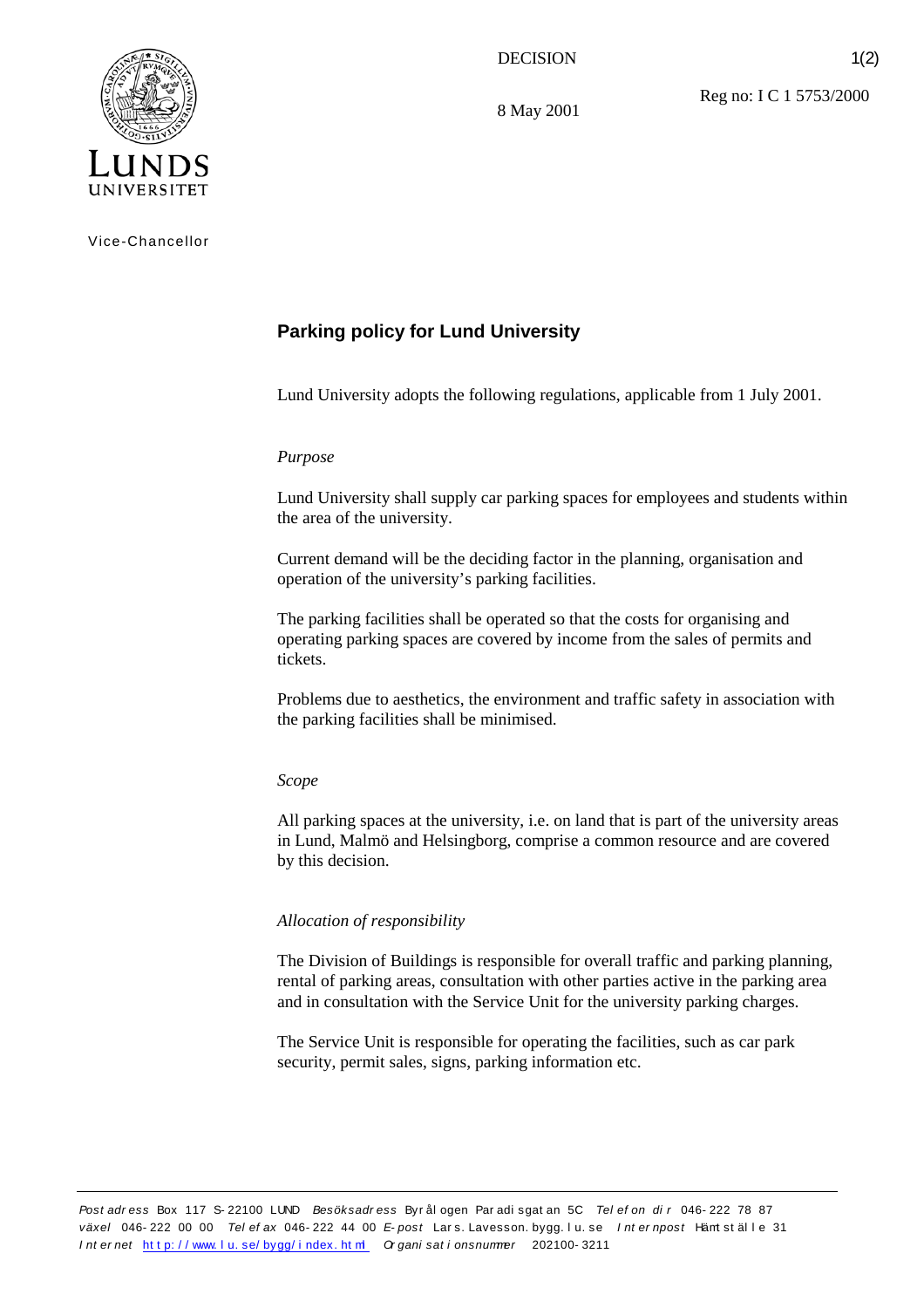## DECISION

8 May 2001

Reg no: I C 1 5753/2000

1(2)



Vice-Chancellor

# **Parking policy for Lund University**

Lund University adopts the following regulations, applicable from 1 July 2001.

## *Purpose*

Lund University shall supply car parking spaces for employees and students within the area of the university.

Current demand will be the deciding factor in the planning, organisation and operation of the university's parking facilities.

The parking facilities shall be operated so that the costs for organising and operating parking spaces are covered by income from the sales of permits and tickets.

Problems due to aesthetics, the environment and traffic safety in association with the parking facilities shall be minimised.

#### *Scope*

All parking spaces at the university, i.e. on land that is part of the university areas in Lund, Malmö and Helsingborg, comprise a common resource and are covered by this decision.

#### *Allocation of responsibility*

The Division of Buildings is responsible for overall traffic and parking planning, rental of parking areas, consultation with other parties active in the parking area and in consultation with the Service Unit for the university parking charges.

The Service Unit is responsible for operating the facilities, such as car park security, permit sales, signs, parking information etc.